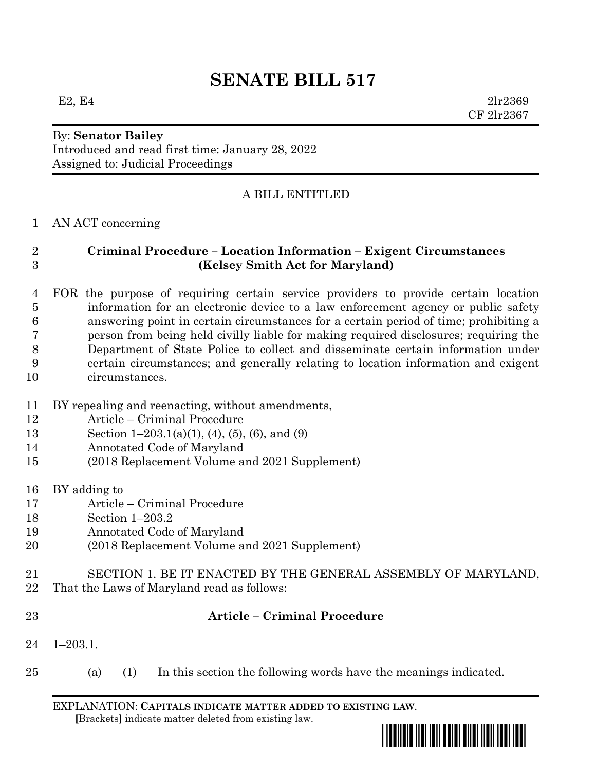# **SENATE BILL 517**

E2, E4  $2\ln 2369$ CF 2lr2367

## By: **Senator Bailey**

Introduced and read first time: January 28, 2022 Assigned to: Judicial Proceedings

#### A BILL ENTITLED

#### AN ACT concerning

### **Criminal Procedure – Location Information – Exigent Circumstances (Kelsey Smith Act for Maryland)**

 FOR the purpose of requiring certain service providers to provide certain location information for an electronic device to a law enforcement agency or public safety answering point in certain circumstances for a certain period of time; prohibiting a person from being held civilly liable for making required disclosures; requiring the Department of State Police to collect and disseminate certain information under certain circumstances; and generally relating to location information and exigent circumstances.

- BY repealing and reenacting, without amendments,
- Article Criminal Procedure
- Section 1–203.1(a)(1), (4), (5), (6), and (9)
- Annotated Code of Maryland
- (2018 Replacement Volume and 2021 Supplement)
- BY adding to
- Article Criminal Procedure
- Section 1–203.2
- Annotated Code of Maryland
- (2018 Replacement Volume and 2021 Supplement)
- SECTION 1. BE IT ENACTED BY THE GENERAL ASSEMBLY OF MARYLAND,
- That the Laws of Maryland read as follows:
- 

#### **Article – Criminal Procedure**

- 1–203.1.
- (a) (1) In this section the following words have the meanings indicated.

EXPLANATION: **CAPITALS INDICATE MATTER ADDED TO EXISTING LAW**.  **[**Brackets**]** indicate matter deleted from existing law.

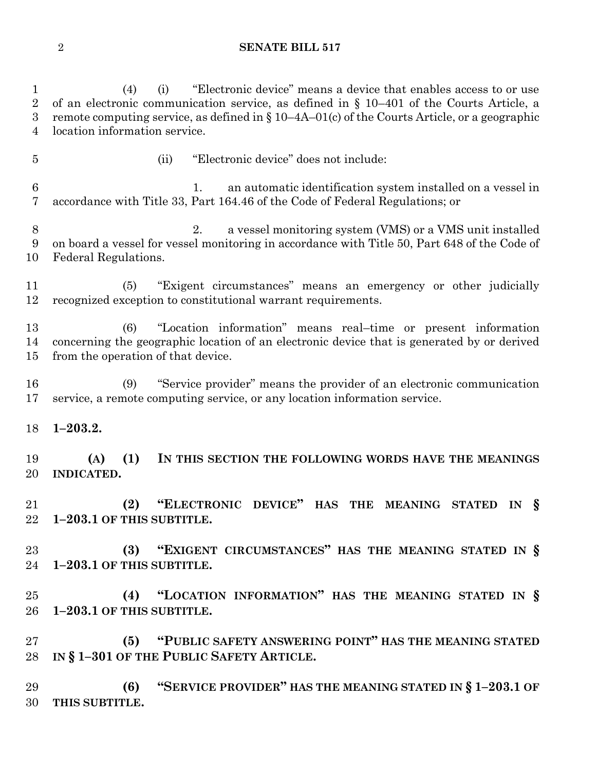#### **SENATE BILL 517**

 (4) (i) "Electronic device" means a device that enables access to or use of an electronic communication service, as defined in § 10–401 of the Courts Article, a remote computing service, as defined in § 10–4A–01(c) of the Courts Article, or a geographic location information service. (ii) "Electronic device" does not include: 1. an automatic identification system installed on a vessel in accordance with Title 33, Part 164.46 of the Code of Federal Regulations; or 2. a vessel monitoring system (VMS) or a VMS unit installed on board a vessel for vessel monitoring in accordance with Title 50, Part 648 of the Code of Federal Regulations. (5) "Exigent circumstances" means an emergency or other judicially recognized exception to constitutional warrant requirements. (6) "Location information" means real–time or present information concerning the geographic location of an electronic device that is generated by or derived from the operation of that device. (9) "Service provider" means the provider of an electronic communication service, a remote computing service, or any location information service. **1–203.2. (A) (1) IN THIS SECTION THE FOLLOWING WORDS HAVE THE MEANINGS INDICATED. (2) "ELECTRONIC DEVICE" HAS THE MEANING STATED IN § 1–203.1 OF THIS SUBTITLE. (3) "EXIGENT CIRCUMSTANCES" HAS THE MEANING STATED IN § 1–203.1 OF THIS SUBTITLE. (4) "LOCATION INFORMATION" HAS THE MEANING STATED IN § 1–203.1 OF THIS SUBTITLE. (5) "PUBLIC SAFETY ANSWERING POINT" HAS THE MEANING STATED IN § 1–301 OF THE PUBLIC SAFETY ARTICLE. (6) "SERVICE PROVIDER" HAS THE MEANING STATED IN § 1–203.1 OF THIS SUBTITLE.**